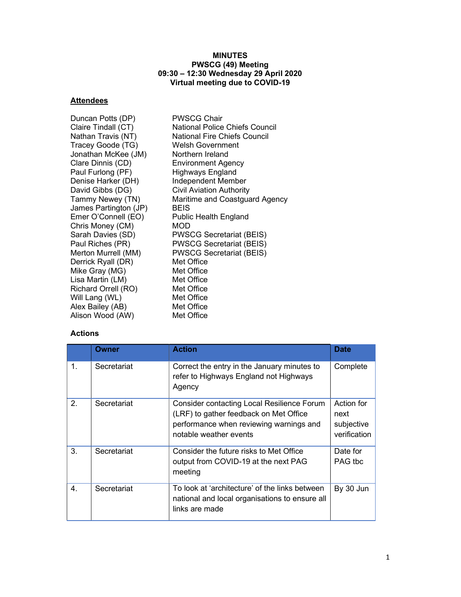#### MINUTES PWSCG (49) Meeting 09:30 – 12:30 Wednesday 29 April 2020 Virtual meeting due to COVID-19

# **Attendees**

| Duncan Potts (DP)     | <b>PWSCG Chair</b>                  |
|-----------------------|-------------------------------------|
| Claire Tindall (CT)   | National Police Chiefs Council      |
| Nathan Travis (NT)    | <b>National Fire Chiefs Council</b> |
| Tracey Goode (TG)     | <b>Welsh Government</b>             |
| Jonathan McKee (JM)   | Northern Ireland                    |
| Clare Dinnis (CD)     | <b>Environment Agency</b>           |
| Paul Furlong (PF)     | <b>Highways England</b>             |
| Denise Harker (DH)    | Independent Member                  |
| David Gibbs (DG)      | <b>Civil Aviation Authority</b>     |
| Tammy Newey (TN)      | Maritime and Coastguard Agency      |
| James Partington (JP) | <b>BFIS</b>                         |
| Emer O'Connell (EO)   | Public Health England               |
| Chris Money (CM)      | <b>MOD</b>                          |
| Sarah Davies (SD)     | <b>PWSCG Secretariat (BEIS)</b>     |
| Paul Riches (PR)      | <b>PWSCG Secretariat (BEIS)</b>     |
| Merton Murrell (MM)   | <b>PWSCG Secretariat (BEIS)</b>     |
| Derrick Ryall (DR)    | Met Office                          |
| Mike Gray (MG)        | Met Office                          |
| Lisa Martin (LM)      | Met Office                          |
| Richard Orrell (RO)   | Met Office                          |
| Will Lang (WL)        | Met Office                          |
| Alex Bailey (AB)      | Met Office                          |
| Alison Wood (AW)      | Met Office                          |

## Actions

|    | Owner       | <b>Action</b>                                                                                                                                                    | <b>Date</b>                                      |
|----|-------------|------------------------------------------------------------------------------------------------------------------------------------------------------------------|--------------------------------------------------|
| 1. | Secretariat | Correct the entry in the January minutes to<br>refer to Highways England not Highways<br>Agency                                                                  | Complete                                         |
| 2. | Secretariat | <b>Consider contacting Local Resilience Forum</b><br>(LRF) to gather feedback on Met Office<br>performance when reviewing warnings and<br>notable weather events | Action for<br>next<br>subjective<br>verification |
| 3. | Secretariat | Consider the future risks to Met Office<br>output from COVID-19 at the next PAG<br>meeting                                                                       | Date for<br>PAG the                              |
| 4. | Secretariat | To look at 'architecture' of the links between<br>national and local organisations to ensure all<br>links are made                                               | By 30 Jun                                        |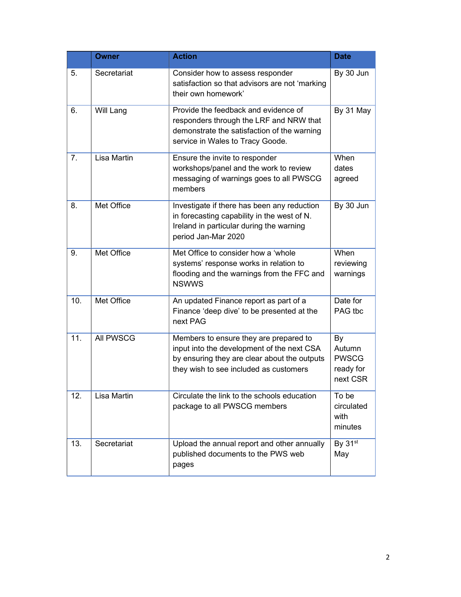|                | <b>Owner</b>      | <b>Action</b>                                                                                                                                                                  | <b>Date</b>                                           |
|----------------|-------------------|--------------------------------------------------------------------------------------------------------------------------------------------------------------------------------|-------------------------------------------------------|
| 5.             | Secretariat       | Consider how to assess responder<br>satisfaction so that advisors are not 'marking<br>their own homework'                                                                      | By 30 Jun                                             |
| 6.             | Will Lang         | Provide the feedback and evidence of<br>responders through the LRF and NRW that<br>demonstrate the satisfaction of the warning<br>service in Wales to Tracy Goode.             | By 31 May                                             |
| 7 <sub>1</sub> | Lisa Martin       | Ensure the invite to responder<br>workshops/panel and the work to review<br>messaging of warnings goes to all PWSCG<br>members                                                 | When<br>dates<br>agreed                               |
| 8.             | Met Office        | Investigate if there has been any reduction<br>in forecasting capability in the west of N.<br>Ireland in particular during the warning<br>period Jan-Mar 2020                  | By 30 Jun                                             |
| 9.             | <b>Met Office</b> | Met Office to consider how a 'whole<br>systems' response works in relation to<br>flooding and the warnings from the FFC and<br><b>NSWWS</b>                                    | When<br>reviewing<br>warnings                         |
| 10.            | Met Office        | An updated Finance report as part of a<br>Finance 'deep dive' to be presented at the<br>next PAG                                                                               | Date for<br>PAG tbc                                   |
| 11.            | All PWSCG         | Members to ensure they are prepared to<br>input into the development of the next CSA<br>by ensuring they are clear about the outputs<br>they wish to see included as customers | By<br>Autumn<br><b>PWSCG</b><br>ready for<br>next CSR |
| 12.            | Lisa Martin       | Circulate the link to the schools education<br>package to all PWSCG members                                                                                                    | To be<br>circulated<br>with<br>minutes                |
| 13.            | Secretariat       | Upload the annual report and other annually<br>published documents to the PWS web<br>pages                                                                                     | By $31st$<br>May                                      |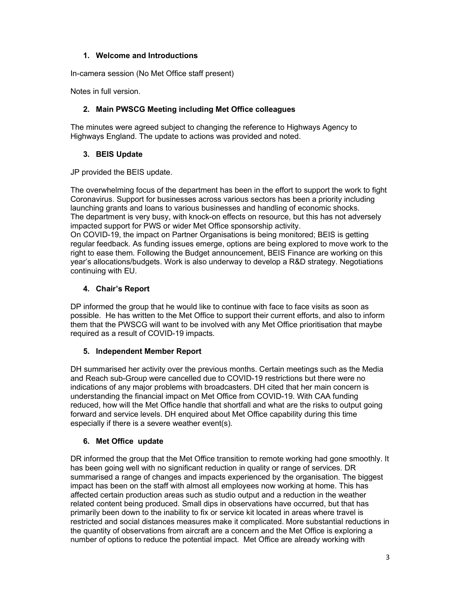#### 1. Welcome and Introductions

In-camera session (No Met Office staff present)

Notes in full version.

#### 2. Main PWSCG Meeting including Met Office colleagues

The minutes were agreed subject to changing the reference to Highways Agency to Highways England. The update to actions was provided and noted.

## 3. BEIS Update

JP provided the BEIS update.

The overwhelming focus of the department has been in the effort to support the work to fight Coronavirus. Support for businesses across various sectors has been a priority including launching grants and loans to various businesses and handling of economic shocks. The department is very busy, with knock-on effects on resource, but this has not adversely impacted support for PWS or wider Met Office sponsorship activity.

On COVID-19, the impact on Partner Organisations is being monitored; BEIS is getting regular feedback. As funding issues emerge, options are being explored to move work to the right to ease them. Following the Budget announcement, BEIS Finance are working on this year's allocations/budgets. Work is also underway to develop a R&D strategy. Negotiations continuing with EU.

## 4. Chair's Report

DP informed the group that he would like to continue with face to face visits as soon as possible. He has written to the Met Office to support their current efforts, and also to inform them that the PWSCG will want to be involved with any Met Office prioritisation that maybe required as a result of COVID-19 impacts.

## 5. Independent Member Report

DH summarised her activity over the previous months. Certain meetings such as the Media and Reach sub-Group were cancelled due to COVID-19 restrictions but there were no indications of any major problems with broadcasters. DH cited that her main concern is understanding the financial impact on Met Office from COVID-19. With CAA funding reduced, how will the Met Office handle that shortfall and what are the risks to output going forward and service levels. DH enquired about Met Office capability during this time especially if there is a severe weather event(s).

## 6. Met Office update

DR informed the group that the Met Office transition to remote working had gone smoothly. It has been going well with no significant reduction in quality or range of services. DR summarised a range of changes and impacts experienced by the organisation. The biggest impact has been on the staff with almost all employees now working at home. This has affected certain production areas such as studio output and a reduction in the weather related content being produced. Small dips in observations have occurred, but that has primarily been down to the inability to fix or service kit located in areas where travel is restricted and social distances measures make it complicated. More substantial reductions in the quantity of observations from aircraft are a concern and the Met Office is exploring a number of options to reduce the potential impact. Met Office are already working with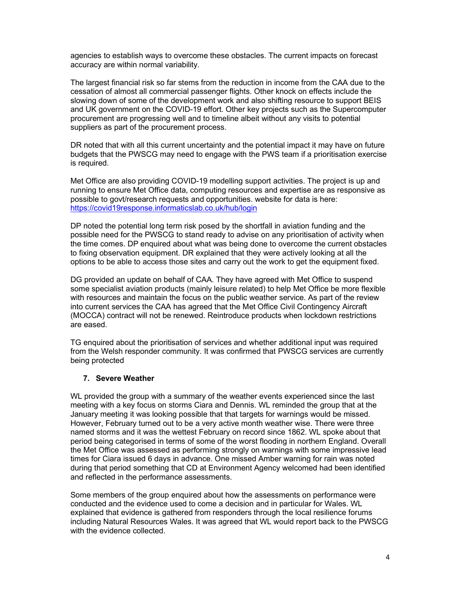agencies to establish ways to overcome these obstacles. The current impacts on forecast accuracy are within normal variability.

The largest financial risk so far stems from the reduction in income from the CAA due to the cessation of almost all commercial passenger flights. Other knock on effects include the slowing down of some of the development work and also shifting resource to support BEIS and UK government on the COVID-19 effort. Other key projects such as the Supercomputer procurement are progressing well and to timeline albeit without any visits to potential suppliers as part of the procurement process.

DR noted that with all this current uncertainty and the potential impact it may have on future budgets that the PWSCG may need to engage with the PWS team if a prioritisation exercise is required.

Met Office are also providing COVID-19 modelling support activities. The project is up and running to ensure Met Office data, computing resources and expertise are as responsive as possible to govt/research requests and opportunities. website for data is here: https://covid19response.informaticslab.co.uk/hub/login

DP noted the potential long term risk posed by the shortfall in aviation funding and the possible need for the PWSCG to stand ready to advise on any prioritisation of activity when the time comes. DP enquired about what was being done to overcome the current obstacles to fixing observation equipment. DR explained that they were actively looking at all the options to be able to access those sites and carry out the work to get the equipment fixed.

DG provided an update on behalf of CAA. They have agreed with Met Office to suspend some specialist aviation products (mainly leisure related) to help Met Office be more flexible with resources and maintain the focus on the public weather service. As part of the review into current services the CAA has agreed that the Met Office Civil Contingency Aircraft (MOCCA) contract will not be renewed. Reintroduce products when lockdown restrictions are eased.

TG enquired about the prioritisation of services and whether additional input was required from the Welsh responder community. It was confirmed that PWSCG services are currently being protected

#### 7. Severe Weather

WL provided the group with a summary of the weather events experienced since the last meeting with a key focus on storms Ciara and Dennis. WL reminded the group that at the January meeting it was looking possible that that targets for warnings would be missed. However, February turned out to be a very active month weather wise. There were three named storms and it was the wettest February on record since 1862. WL spoke about that period being categorised in terms of some of the worst flooding in northern England. Overall the Met Office was assessed as performing strongly on warnings with some impressive lead times for Ciara issued 6 days in advance. One missed Amber warning for rain was noted during that period something that CD at Environment Agency welcomed had been identified and reflected in the performance assessments.

Some members of the group enquired about how the assessments on performance were conducted and the evidence used to come a decision and in particular for Wales. WL explained that evidence is gathered from responders through the local resilience forums including Natural Resources Wales. It was agreed that WL would report back to the PWSCG with the evidence collected.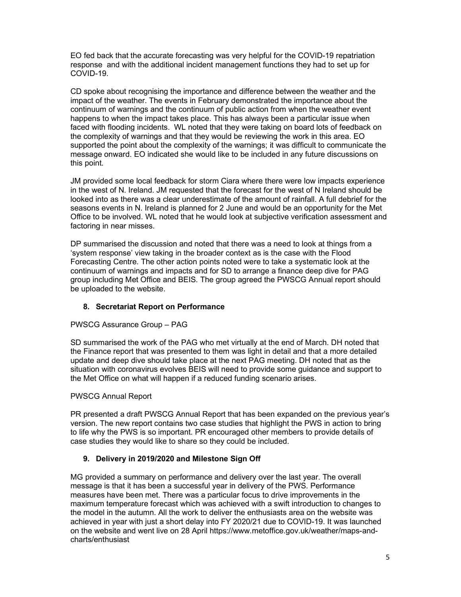EO fed back that the accurate forecasting was very helpful for the COVID-19 repatriation response and with the additional incident management functions they had to set up for COVID-19.

CD spoke about recognising the importance and difference between the weather and the impact of the weather. The events in February demonstrated the importance about the continuum of warnings and the continuum of public action from when the weather event happens to when the impact takes place. This has always been a particular issue when faced with flooding incidents. WL noted that they were taking on board lots of feedback on the complexity of warnings and that they would be reviewing the work in this area. EO supported the point about the complexity of the warnings; it was difficult to communicate the message onward. EO indicated she would like to be included in any future discussions on this point.

JM provided some local feedback for storm Ciara where there were low impacts experience in the west of N. Ireland. JM requested that the forecast for the west of N Ireland should be looked into as there was a clear underestimate of the amount of rainfall. A full debrief for the seasons events in N. Ireland is planned for 2 June and would be an opportunity for the Met Office to be involved. WL noted that he would look at subjective verification assessment and factoring in near misses.

DP summarised the discussion and noted that there was a need to look at things from a 'system response' view taking in the broader context as is the case with the Flood Forecasting Centre. The other action points noted were to take a systematic look at the continuum of warnings and impacts and for SD to arrange a finance deep dive for PAG group including Met Office and BEIS. The group agreed the PWSCG Annual report should be uploaded to the website.

## 8. Secretariat Report on Performance

#### PWSCG Assurance Group – PAG

SD summarised the work of the PAG who met virtually at the end of March. DH noted that the Finance report that was presented to them was light in detail and that a more detailed update and deep dive should take place at the next PAG meeting. DH noted that as the situation with coronavirus evolves BEIS will need to provide some guidance and support to the Met Office on what will happen if a reduced funding scenario arises.

#### PWSCG Annual Report

PR presented a draft PWSCG Annual Report that has been expanded on the previous year's version. The new report contains two case studies that highlight the PWS in action to bring to life why the PWS is so important. PR encouraged other members to provide details of case studies they would like to share so they could be included.

#### 9. Delivery in 2019/2020 and Milestone Sign Off

MG provided a summary on performance and delivery over the last year. The overall message is that it has been a successful year in delivery of the PWS. Performance measures have been met. There was a particular focus to drive improvements in the maximum temperature forecast which was achieved with a swift introduction to changes to the model in the autumn. All the work to deliver the enthusiasts area on the website was achieved in year with just a short delay into FY 2020/21 due to COVID-19. It was launched on the website and went live on 28 April https://www.metoffice.gov.uk/weather/maps-andcharts/enthusiast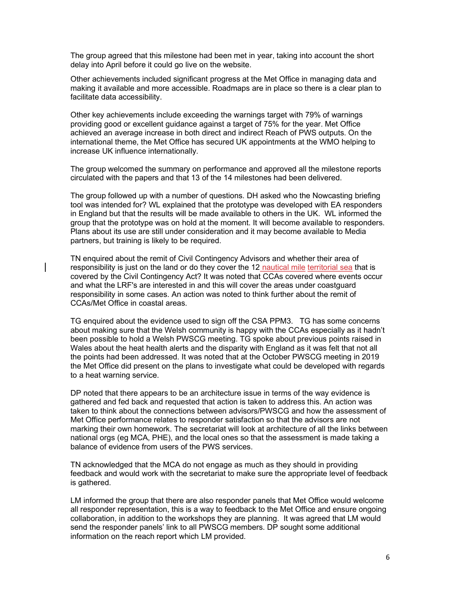The group agreed that this milestone had been met in year, taking into account the short delay into April before it could go live on the website.

Other achievements included significant progress at the Met Office in managing data and making it available and more accessible. Roadmaps are in place so there is a clear plan to facilitate data accessibility.

Other key achievements include exceeding the warnings target with 79% of warnings providing good or excellent guidance against a target of 75% for the year. Met Office achieved an average increase in both direct and indirect Reach of PWS outputs. On the international theme, the Met Office has secured UK appointments at the WMO helping to increase UK influence internationally.

The group welcomed the summary on performance and approved all the milestone reports circulated with the papers and that 13 of the 14 milestones had been delivered.

The group followed up with a number of questions. DH asked who the Nowcasting briefing tool was intended for? WL explained that the prototype was developed with EA responders in England but that the results will be made available to others in the UK. WL informed the group that the prototype was on hold at the moment. It will become available to responders. Plans about its use are still under consideration and it may become available to Media partners, but training is likely to be required.

TN enquired about the remit of Civil Contingency Advisors and whether their area of responsibility is just on the land or do they cover the 12 nautical mile territorial sea that is covered by the Civil Contingency Act? It was noted that CCAs covered where events occur and what the LRF's are interested in and this will cover the areas under coastguard responsibility in some cases. An action was noted to think further about the remit of CCAs/Met Office in coastal areas.

TG enquired about the evidence used to sign off the CSA PPM3. TG has some concerns about making sure that the Welsh community is happy with the CCAs especially as it hadn't been possible to hold a Welsh PWSCG meeting. TG spoke about previous points raised in Wales about the heat health alerts and the disparity with England as it was felt that not all the points had been addressed. It was noted that at the October PWSCG meeting in 2019 the Met Office did present on the plans to investigate what could be developed with regards to a heat warning service.

DP noted that there appears to be an architecture issue in terms of the way evidence is gathered and fed back and requested that action is taken to address this. An action was taken to think about the connections between advisors/PWSCG and how the assessment of Met Office performance relates to responder satisfaction so that the advisors are not marking their own homework. The secretariat will look at architecture of all the links between national orgs (eg MCA, PHE), and the local ones so that the assessment is made taking a balance of evidence from users of the PWS services.

TN acknowledged that the MCA do not engage as much as they should in providing feedback and would work with the secretariat to make sure the appropriate level of feedback is gathered.

LM informed the group that there are also responder panels that Met Office would welcome all responder representation, this is a way to feedback to the Met Office and ensure ongoing collaboration, in addition to the workshops they are planning. It was agreed that LM would send the responder panels' link to all PWSCG members. DP sought some additional information on the reach report which LM provided.